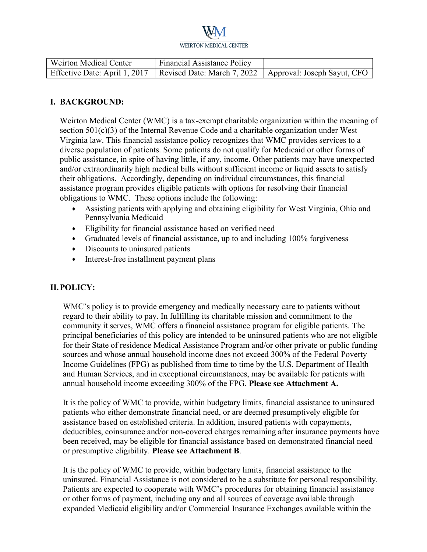| Weirton Medical Center | <b>Financial Assistance Policy</b>                                                        |  |
|------------------------|-------------------------------------------------------------------------------------------|--|
|                        | Effective Date: April 1, 2017   Revised Date: March 7, 2022   Approval: Joseph Sayut, CFO |  |

#### **I. BACKGROUND:**

Weirton Medical Center (WMC) is a tax-exempt charitable organization within the meaning of section 501(c)(3) of the Internal Revenue Code and a charitable organization under West Virginia law. This financial assistance policy recognizes that WMC provides services to a diverse population of patients. Some patients do not qualify for Medicaid or other forms of public assistance, in spite of having little, if any, income. Other patients may have unexpected and/or extraordinarily high medical bills without sufficient income or liquid assets to satisfy their obligations. Accordingly, depending on individual circumstances, this financial assistance program provides eligible patients with options for resolving their financial obligations to WMC. These options include the following:

- Assisting patients with applying and obtaining eligibility for West Virginia, Ohio and Pennsylvania Medicaid
- Eligibility for financial assistance based on verified need
- Graduated levels of financial assistance, up to and including 100% forgiveness
- Discounts to uninsured patients
- Interest-free installment payment plans

### **II.POLICY:**

WMC's policy is to provide emergency and medically necessary care to patients without regard to their ability to pay. In fulfilling its charitable mission and commitment to the community it serves, WMC offers a financial assistance program for eligible patients. The principal beneficiaries of this policy are intended to be uninsured patients who are not eligible for their State of residence Medical Assistance Program and/or other private or public funding sources and whose annual household income does not exceed 300% of the Federal Poverty Income Guidelines (FPG) as published from time to time by the U.S. Department of Health and Human Services, and in exceptional circumstances, may be available for patients with annual household income exceeding 300% of the FPG. **Please see Attachment A.**

It is the policy of WMC to provide, within budgetary limits, financial assistance to uninsured patients who either demonstrate financial need, or are deemed presumptively eligible for assistance based on established criteria. In addition, insured patients with copayments, deductibles, coinsurance and/or non-covered charges remaining after insurance payments have been received, may be eligible for financial assistance based on demonstrated financial need or presumptive eligibility. **Please see Attachment B**.

It is the policy of WMC to provide, within budgetary limits, financial assistance to the uninsured. Financial Assistance is not considered to be a substitute for personal responsibility. Patients are expected to cooperate with WMC's procedures for obtaining financial assistance or other forms of payment, including any and all sources of coverage available through expanded Medicaid eligibility and/or Commercial Insurance Exchanges available within the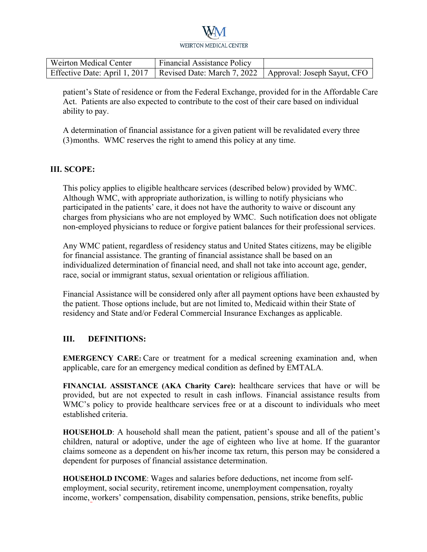| Weirton Medical Center | <b>Financial Assistance Policy</b>                                                        |  |
|------------------------|-------------------------------------------------------------------------------------------|--|
|                        | Effective Date: April 1, 2017   Revised Date: March 7, 2022   Approval: Joseph Sayut, CFO |  |

patient's State of residence or from the Federal Exchange, provided for in the Affordable Care Act. Patients are also expected to contribute to the cost of their care based on individual ability to pay.

A determination of financial assistance for a given patient will be revalidated every three (3) months. WMC reserves the right to amend this policy at any time.

#### **III. SCOPE:**

This policy applies to eligible healthcare services (described below) provided by WMC. Although WMC, with appropriate authorization, is willing to notify physicians who participated in the patients' care, it does not have the authority to waive or discount any charges from physicians who are not employed by WMC. Such notification does not obligate non-employed physicians to reduce or forgive patient balances for their professional services.

Any WMC patient, regardless of residency status and United States citizens, may be eligible for financial assistance. The granting of financial assistance shall be based on an individualized determination of financial need, and shall not take into account age, gender, race, social or immigrant status, sexual orientation or religious affiliation.

Financial Assistance will be considered only after all payment options have been exhausted by the patient. Those options include, but are not limited to, Medicaid within their State of residency and State and/or Federal Commercial Insurance Exchanges as applicable.

#### **III. DEFINITIONS:**

**EMERGENCY CARE:** Care or treatment for a medical screening examination and, when applicable, care for an emergency medical condition as defined by EMTALA.

**FINANCIAL ASSISTANCE (AKA Charity Care):** healthcare services that have or will be provided, but are not expected to result in cash inflows. Financial assistance results from WMC's policy to provide healthcare services free or at a discount to individuals who meet established criteria.

**HOUSEHOLD**: A household shall mean the patient, patient's spouse and all of the patient's children, natural or adoptive, under the age of eighteen who live at home. If the guarantor claims someone as a dependent on his/her income tax return, this person may be considered a dependent for purposes of financial assistance determination.

**HOUSEHOLD INCOME**: Wages and salaries before deductions, net income from selfemployment, social security, retirement income, unemployment compensation, royalty income, workers' compensation, disability compensation, pensions, strike benefits, public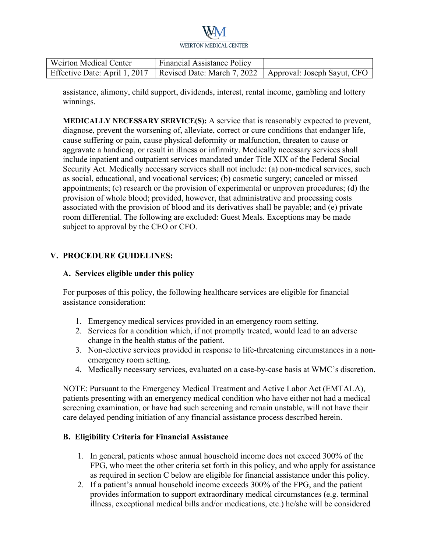| Weirton Medical Center | <b>Financial Assistance Policy</b>                                                        |  |
|------------------------|-------------------------------------------------------------------------------------------|--|
|                        | Effective Date: April 1, 2017   Revised Date: March 7, 2022   Approval: Joseph Sayut, CFO |  |

assistance, alimony, child support, dividends, interest, rental income, gambling and lottery winnings.

**MEDICALLY NECESSARY SERVICE(S):** A service that is reasonably expected to prevent, diagnose, prevent the worsening of, alleviate, correct or cure conditions that endanger life, cause suffering or pain, cause physical deformity or malfunction, threaten to cause or aggravate a handicap, or result in illness or infirmity. Medically necessary services shall include inpatient and outpatient services mandated under Title XIX of the Federal Social Security Act. Medically necessary services shall not include: (a) non-medical services, such as social, educational, and vocational services; (b) cosmetic surgery; canceled or missed appointments; (c) research or the provision of experimental or unproven procedures; (d) the provision of whole blood; provided, however, that administrative and processing costs associated with the provision of blood and its derivatives shall be payable; and (e) private room differential. The following are excluded: Guest Meals. Exceptions may be made subject to approval by the CEO or CFO.

#### **V. PROCEDURE GUIDELINES:**

#### **A. Services eligible under this policy**

For purposes of this policy, the following healthcare services are eligible for financial assistance consideration:

- 1. Emergency medical services provided in an emergency room setting.
- 2. Services for a condition which, if not promptly treated, would lead to an adverse change in the health status of the patient.
- 3. Non-elective services provided in response to life-threatening circumstances in a nonemergency room setting.
- 4. Medically necessary services, evaluated on a case-by-case basis at WMC's discretion.

NOTE: Pursuant to the Emergency Medical Treatment and Active Labor Act (EMTALA), patients presenting with an emergency medical condition who have either not had a medical screening examination, or have had such screening and remain unstable, will not have their care delayed pending initiation of any financial assistance process described herein.

#### **B. Eligibility Criteria for Financial Assistance**

- 1. In general, patients whose annual household income does not exceed 300% of the FPG, who meet the other criteria set forth in this policy, and who apply for assistance as required in section C below are eligible for financial assistance under this policy.
- 2. If a patient's annual household income exceeds 300% of the FPG, and the patient provides information to support extraordinary medical circumstances (e.g. terminal illness, exceptional medical bills and/or medications, etc.) he/she will be considered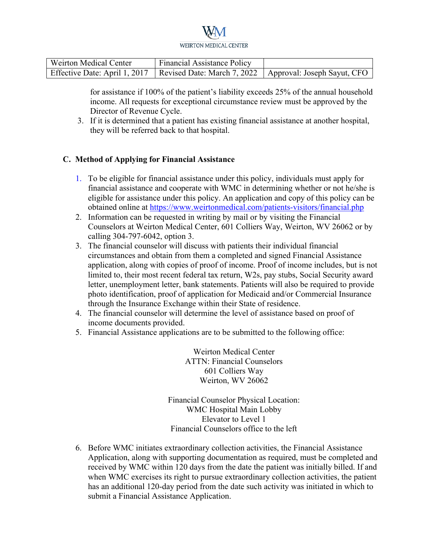| <b>Weirton Medical Center</b> | <b>Financial Assistance Policy</b>                                                        |  |
|-------------------------------|-------------------------------------------------------------------------------------------|--|
|                               | Effective Date: April 1, 2017   Revised Date: March 7, 2022   Approval: Joseph Sayut, CFO |  |

for assistance if 100% of the patient's liability exceeds 25% of the annual household income. All requests for exceptional circumstance review must be approved by the Director of Revenue Cycle.

3. If it is determined that a patient has existing financial assistance at another hospital, they will be referred back to that hospital.

### **C. Method of Applying for Financial Assistance**

- 1. To be eligible for financial assistance under this policy, individuals must apply for financial assistance and cooperate with WMC in determining whether or not he/she is eligible for assistance under this policy. An application and copy of this policy can be obtained online at https://www.weirtonmedical.com/patients-visitors/financial.php
- 2. Information can be requested in writing by mail or by visiting the Financial Counselors at Weirton Medical Center, 601 Colliers Way, Weirton, WV 26062 or by calling 304-797-6042, option 3.
- 3. The financial counselor will discuss with patients their individual financial circumstances and obtain from them a completed and signed Financial Assistance application, along with copies of proof of income. Proof of income includes, but is not limited to, their most recent federal tax return, W2s, pay stubs, Social Security award letter, unemployment letter, bank statements. Patients will also be required to provide photo identification, proof of application for Medicaid and/or Commercial Insurance through the Insurance Exchange within their State of residence.
- 4. The financial counselor will determine the level of assistance based on proof of income documents provided.
- 5. Financial Assistance applications are to be submitted to the following office:

Weirton Medical Center ATTN: Financial Counselors 601 Colliers Way Weirton, WV 26062

Financial Counselor Physical Location: WMC Hospital Main Lobby Elevator to Level 1 Financial Counselors office to the left

6. Before WMC initiates extraordinary collection activities, the Financial Assistance Application, along with supporting documentation as required, must be completed and received by WMC within 120 days from the date the patient was initially billed. If and when WMC exercises its right to pursue extraordinary collection activities, the patient has an additional 120-day period from the date such activity was initiated in which to submit a Financial Assistance Application.